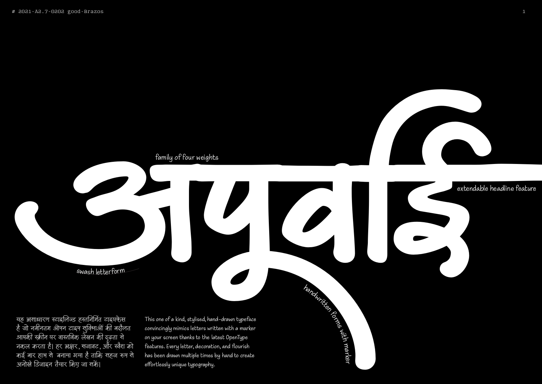

यह असाधारण स्टाइलिज्ड हस्तनिर्मित टाइपफेस है जो नवानतम आपने टाइप सुविधाओं का बदालत आपका स्क्रान पर वास्तावक लखन का दृढ़ता स ์<br>เ नकल करता है। हर अक्षर, सजावट, और स्वैश को कई बार हाथ से बनाया गया है ताकि सहज रूप से अनोखे डिजाइन तैयार किए जा सकें।

This one of a kind, stylised, hand-drawn typeface convincingly mimics letters written with a marker on your screen thanks to the latest OpenType features. Every letter, decoration, and flourish has been drawn multiple times by hand to create effortlessly unique typography.

handwritten rengt

# extendable headline feature

family of four weights

with

ma

rke r



<sup>s</sup>wash lette<sup>r</sup>for<sup>m</sup>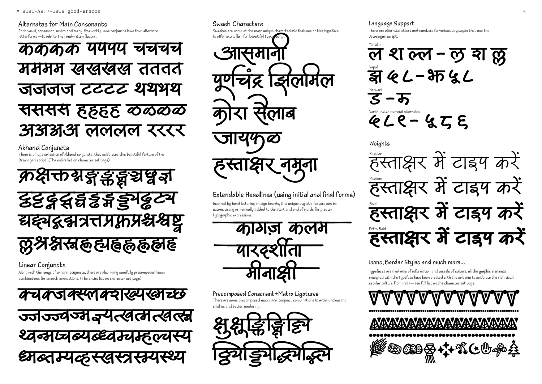## Alternates for Main Consonants

Each vowel, consonant, matra and many frequently used conjuncts have four alternate letterforms-to add to the handwritten flayour



Akhand Conjuncts

There is a huge collection of akhand conjuncts, that celebrates this beautiful feature of the Devanagari script. (The entire list on character set page)



Linear Conjuncts

Alona with the range of akhand conjuncts, there are also many carefully precomposed linear combinations for smooth connections. (The entire list on character set page)



# Swash Characters

Swashes are some of the most unique characteristic features of this typeface to offer extra flair for beautiful typo



# Extendable Headlines (using initial and final forms)

Inspired by hand lettering on sign boards, this unique stulistic feature can be automatically or manually added to the start and end of words for greater typographic expressions.











### Precomposed Consonant+Matra Ligatures

There are some precomposed matra and conjunct combinations to avoid unpleasant clashes and better rendering.





Devanagari script.

Marath

 $\mathbf{S}$ 

**Weights** 









### Language Support There are alternate letters and numbers for various languages that use the

ल श ल्ल - लु श ल्लु  $42 - 3542$ 

 $QLP-2ZE$ 

### Icons, Border Styles and much more...

Typefaces are mediums of information and vessels of culture, all the graphic elements designed with the typeface have been created with the sole aim to celebrate the rich visual secular culture from India-see full list on the character set page.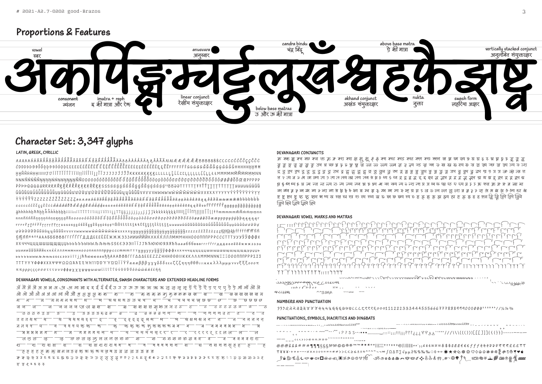# Proportions & Features



# Character Set: 3,347 glyphs

### LATIN, GREEK, CYRILLIC

NNNŇŃŇŇŅŅŅŅŅŃŴŅŊŊŊŊÑŇ00000ÓÓŎŎŎŎÔÔÔÔÔÔÔÔÔÔŎŎŎŎŎQQÒÒŎŎđƠỚQQÒÒ*Ġ*ŎŎŎŎŎŎŎŎŎŎŎŎŎŎŎĊŒPPPPP ŶŶŶŶŶŸZZZZZŹŹŽŽŻZZZZaaaaaááăăăắåăååååååååââââââââââââååååääaaaààåāāāaa âåâãawaææææbbbbbb nnnňnínňnnnnnnnnnnnnnnnnnnnnnn a qar rrrrrrrrrrrrrrrrrrrrrrrrsssssssésssessessessesunßBttttttttttttttttttttttttttttuuuunaudaudaudaudaudaudaudaudaud fffffffff®®ººAAAБББВВВГГГЃЃҐДДДЕЕЕЁЁЁЖЖЖЗЗЗИИИЙЙЙКККЌЛЛЛМММНННОООПППРРРСССТТТУУУЎЎФФФХ ХХЧЧЧЦЦЦШШШШШШШЫЬЬЪЪЪЪЫЫЫ ЛЬЊЬ SSE СЭЭЭ|| | | | J ТЬЋЮЮ ЮЯЯ Я БРА алб ббвввггг ѓ ггдддее е ё ё ё жжжзззч ииииийййййкккќќлллмммннноооппппппрррссстттттуууууўўўўфффхххчччцццццшшшшшщщщщцццц Bbbbbbbbbbbbbbcbbssee333iiïïjjħħbbbsssshħAAABBBFFF△△△EEEZZZHHH000IIIKKK∧∧∧MMMNNNEΞΞ000ΠΠΠΡΡΡΣΣΣ TTTYYYΦΦΦΧΧΧΨΨΨΩΩΩΆΆΈΕΉΗ1100ΥΎΩΏΪΪΫΫαααβββγγγδδδεεεζζζηηηθθθιιικκκλλλμμμνννξξξοοοπ ππρρρςςςσσστττυυυφφφχχχψψψωωωί[ϊϊΐΐ ύύϋΰΰΰδόώώ&&έέήή

### DEVANAGARI VOWELS, CONSONANTS WITH ALTERNATES, SWASH CHARACTERS AND EXTENDED HEADLINE FORMS

ॲ ऄ ॲ ऄ ऄ ऄ ऄ ऄ ऄ ऒ ऒ ॏ ड़ ड़ ई ई ई ई उ उ उ ऊ ऊ ऋ ऋ ऋ ऌ ऌ ऌ ॡ ऍ ऍ ऎ ऎ ए ए ए ऐ ऐ ऒ ऒ ऄ ग ग — ब्राज बाबा बर्हन <del>— ब्रा</del>च बाब बाद उन्च च — च— च—च च च च च छ <del>छ — छ — छ छ छ छ छ</del> जिज्जिजजजजञ्ज*ञ* झ झ झ झ झ अ ज ज ट *ट* てててててす <del>्ट्</del>ट्ट्ट्ट् शध चिण्ड् ध्यथश्रका न —थ —थ थ थ थ द *द* — *द* — <del>्फ - फ</del> फ फ फ फ फ फ फ फ ब ब  $4\overline{2}$ ब ब ब ब भ भ जि म म म य प प प रिररर् ऱऱल ल <sup>—</sup> ल — ल *क क क क क* ल ल ल ल क ब्यान्छ प ऱ्श श श ज्ञा श — स स स स स ह ह — ह — ह —— ह ह ह ह *ह क कु ख़ श़* ज़ ड़ ढ़ फ़ फ़ फ़ फ़ स ज़ य <u>ग</u> ग <u>ज</u> ज <u>ड ड ब ब</u>

क क छ छ ठ ठ घ घ घ घ छ छ ऊ ऊ छ ङ ङ ऊ ठ ठ ठ ठ ठ ढ *घ ण र २* ९ ४ ठ ६ ६ <del>८ २ ८ ४ फ</del> फ ढ ढ ४ फ र २ २ र रू रू क छ *छ छ ठ* ८ १ そ そくひひそそ

#### DEVANAGARI CONJUNCTS

क़ क्ल क़ क्व क्छ क्ज क्त क़ क़ कश क्श क्ष क़्ष क़ू क़ क़ क़्स क़्स्ड क़्स क्ल क्स क़्स्ल ख़ ख़ ख़ ख़्य क़ ग़ ग़ ग़ ग़ ह़ इ ह़ ह़ ह़ ह़ त्त <del>र</del> त्य ब ढ ले ता त्म्य त्य ठ त्स त्स्य त्स्व त्य त्स्य अश्व अश्र श्र्य द्र द्र इ द्र इ इ द्व्य द्र इ द्र इ द्व्य द्र द्र इ द्व्य ध्र इ द्व्य ध्र इ द्व्य ध्र इ द्व्य ध्र इ द्व्य ध्र त्र न्व न्ज न्त न्त्य न्त्र न्थ न्थ्य न्न न्न न्न न्य न्य न्य न्य न्य प्र प्र प्र प्र प्र पर प्त्य प्न रू फ्र फल फ्र फ्र ब्र ब्र ब्र झि झि द्विये द्विये लिये

### DEVANAGARI VOWEL MARKS AND MATRAS



| $\overline{\phantom{a}}$ | uuuuuwaanyin 111 hyymmm                               |
|--------------------------|-------------------------------------------------------|
|                          | son de la Valonne de l'accompany                      |
|                          | $\begin{array}{ccccccccccccccccc}\n\end{array}$       |
| فغلاف فيفتفق             | $\wedge$ $\wedge$ $\wedge$ $\wedge$ $\wedge$ $\wedge$ |

#### NUMBERS AND PUNCTUATION

#### PUNCTUATIONS, SYMBOLS, DIACRITICS AND DINGBATS

| $.$                                                                                                                                                                                                                                                           |  |
|---------------------------------------------------------------------------------------------------------------------------------------------------------------------------------------------------------------------------------------------------------------|--|
| , , , ,, ,, ,,                                                                                                                                                                                                                                                |  |
| @@@&&&###¶¶¶§§§NºNº©©®®™™***°°   ¦¦¦++++++€      </th><th></th></tr><tr><th>〒¥¥¥・+++---×××÷÷÷===≠≠>><<≥≤±±≈^^~~¬¬∞∫Ω△Π∑√μ </th><th></th></tr><tr><th>຺<br>ֈ֎՟ՠ֎՟֎՟֎՟֎՟֎՟֎՟֎՟֎՟֎՟֎՟֎՟֎՟֎՟֎՟֎՟֎՟֎</th><th></th></tr><tr><th></th><th></th></tr></tbody></table> |  |

μ∂%%‰‰∷◊→←☀★☆⊙֍搽♡◊企☆※※\*烫*※*o®♥♥∉ ,∞∞<del>√</del> \$\$\$\$\$``\*~©●}d \_ \$\$`\$#\$\$\$\$\$\$@

و د د ۱۰ میلاد به سیاه به استفاده به استفاده به استفاده به سال باشد به سال به سال به سال به سال به س ؘ<br>؆؆<sup>؊</sup>؞؇؇ۿۣۿۿڟ